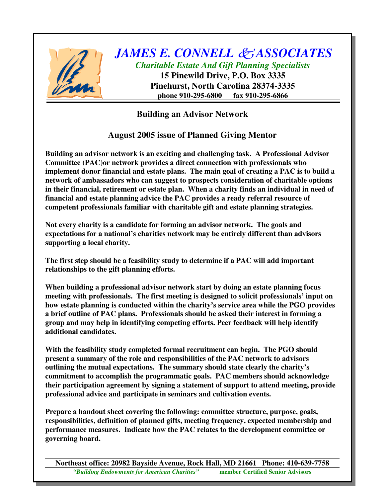

*JAMES E. CONNELL ASSOCIATES Charitable Estate And Gift Planning Specialists* **15 Pinewild Drive, P.O. Box 3335**

**Pinehurst, North Carolina 28374-3335 phone 910-295-6800 fax 910-295-6866**

**Building an Advisor Network**

## **August 2005 issue of Planned Giving Mentor**

**Building an advisor network is an exciting and challenging task. A Professional Advisor Committee (PAC)or network provides a direct connection with professionals who implement donor financial and estate plans. The main goal of creating a PAC is to build a network of ambassadors who can suggest to prospects consideration of charitable options in their financial, retirement or estate plan. When a charity finds an individual in need of financial and estate planning advice the PAC provides a ready referral resource of competent professionals familiar with charitable gift and estate planning strategies.**

**Not every charity is a candidate for forming an advisor network. The goals and expectations for a national's charities network may be entirely different than advisors supporting a local charity.**

**The first step should be a feasibility study to determine if a PAC will add important relationships to the gift planning efforts.**

**When building a professional advisor network start by doing an estate planning focus meeting with professionals. The first meeting is designed to solicit professionals' input on how estate planning is conducted within the charity's service area while the PGO provides a brief outline of PAC plans. Professionals should be asked their interest in forming a group and may help in identifying competing efforts. Peer feedback will help identify additional candidates.**

**With the feasibility study completed formal recruitment can begin. The PGO should present a summary of the role and responsibilities of the PAC network to advisors outlining the mutual expectations. The summary should state clearly the charity's commitment to accomplish the programmatic goals. PAC members should acknowledge their participation agreement by signing a statement of support to attend meeting, provide professional advice and participate in seminars and cultivation events.**

**Prepare a handout sheet covering the following: committee structure, purpose, goals, responsibilities, definition of planned gifts, meeting frequency, expected membership and performance measures. Indicate how the PAC relates to the development committee or governing board.**